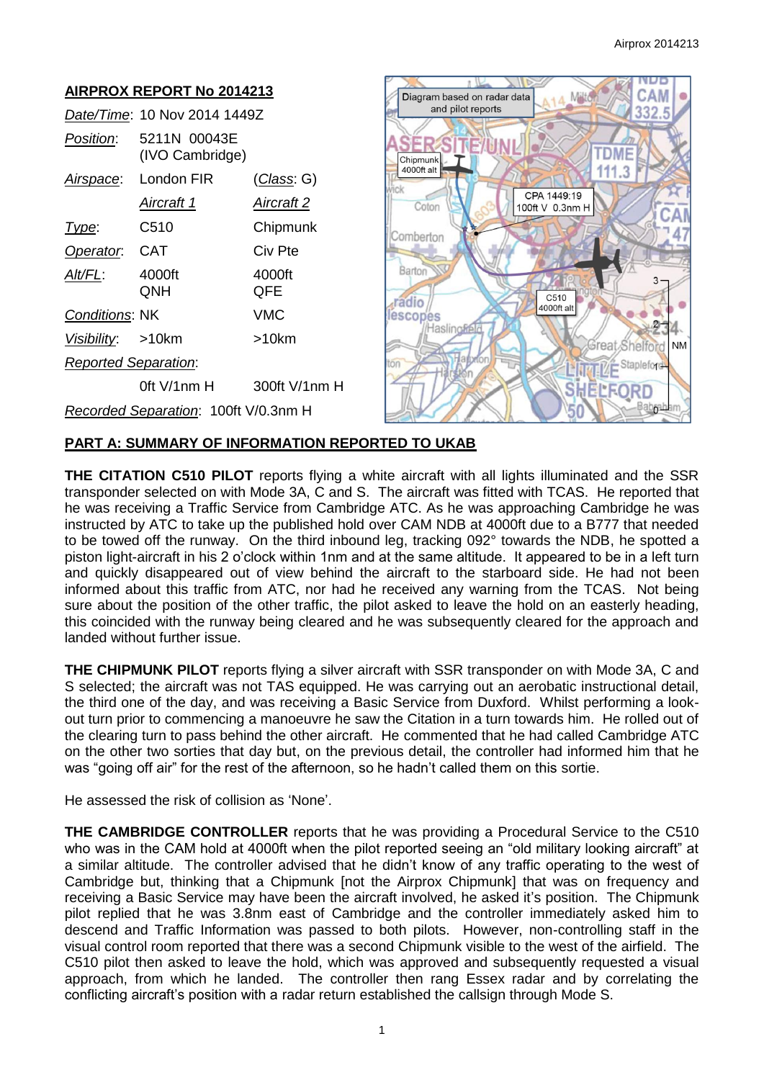

# **PART A: SUMMARY OF INFORMATION REPORTED TO UKAB**

**THE CITATION C510 PILOT** reports flying a white aircraft with all lights illuminated and the SSR transponder selected on with Mode 3A, C and S. The aircraft was fitted with TCAS. He reported that he was receiving a Traffic Service from Cambridge ATC. As he was approaching Cambridge he was instructed by ATC to take up the published hold over CAM NDB at 4000ft due to a B777 that needed to be towed off the runway. On the third inbound leg, tracking 092° towards the NDB, he spotted a piston light-aircraft in his 2 o'clock within 1nm and at the same altitude. It appeared to be in a left turn and quickly disappeared out of view behind the aircraft to the starboard side. He had not been informed about this traffic from ATC, nor had he received any warning from the TCAS. Not being sure about the position of the other traffic, the pilot asked to leave the hold on an easterly heading, this coincided with the runway being cleared and he was subsequently cleared for the approach and landed without further issue.

**THE CHIPMUNK PILOT** reports flying a silver aircraft with SSR transponder on with Mode 3A, C and S selected; the aircraft was not TAS equipped. He was carrying out an aerobatic instructional detail, the third one of the day, and was receiving a Basic Service from Duxford. Whilst performing a lookout turn prior to commencing a manoeuvre he saw the Citation in a turn towards him. He rolled out of the clearing turn to pass behind the other aircraft. He commented that he had called Cambridge ATC on the other two sorties that day but, on the previous detail, the controller had informed him that he was "going off air" for the rest of the afternoon, so he hadn't called them on this sortie.

He assessed the risk of collision as 'None'.

**THE CAMBRIDGE CONTROLLER** reports that he was providing a Procedural Service to the C510 who was in the CAM hold at 4000ft when the pilot reported seeing an "old military looking aircraft" at a similar altitude. The controller advised that he didn't know of any traffic operating to the west of Cambridge but, thinking that a Chipmunk [not the Airprox Chipmunk] that was on frequency and receiving a Basic Service may have been the aircraft involved, he asked it's position. The Chipmunk pilot replied that he was 3.8nm east of Cambridge and the controller immediately asked him to descend and Traffic Information was passed to both pilots. However, non-controlling staff in the visual control room reported that there was a second Chipmunk visible to the west of the airfield. The C510 pilot then asked to leave the hold, which was approved and subsequently requested a visual approach, from which he landed. The controller then rang Essex radar and by correlating the conflicting aircraft's position with a radar return established the callsign through Mode S.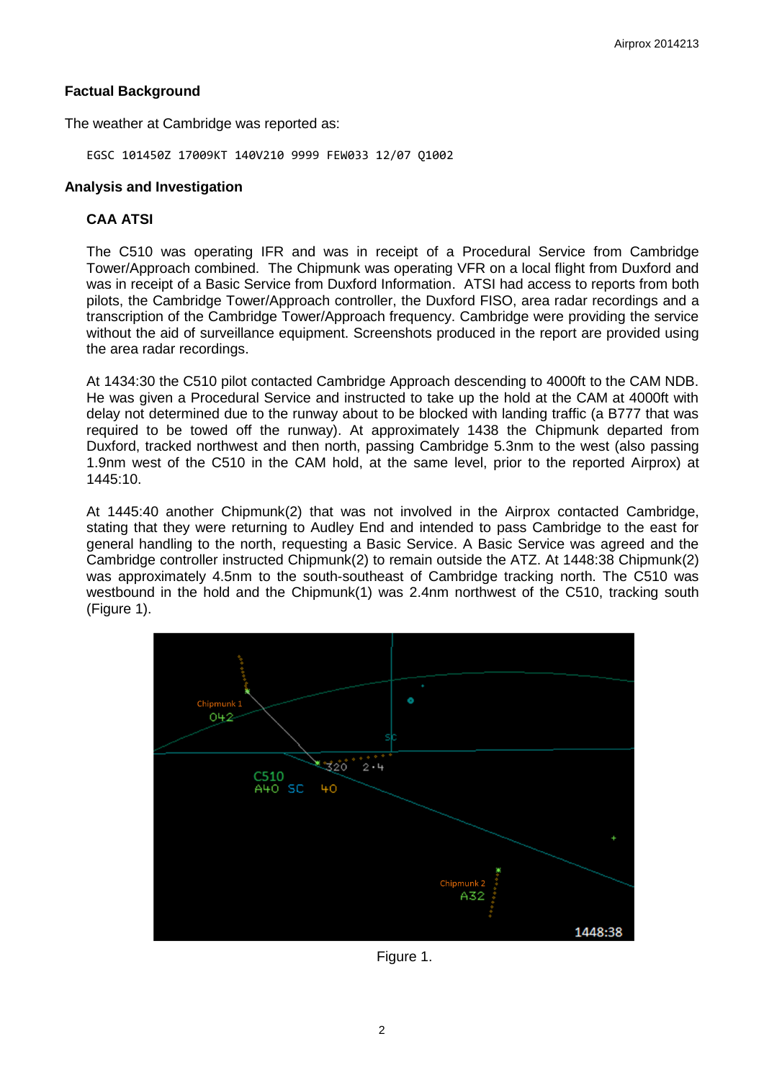### **Factual Background**

The weather at Cambridge was reported as:

EGSC 101450Z 17009KT 140V210 9999 FEW033 12/07 Q1002

### **Analysis and Investigation**

## **CAA ATSI**

The C510 was operating IFR and was in receipt of a Procedural Service from Cambridge Tower/Approach combined. The Chipmunk was operating VFR on a local flight from Duxford and was in receipt of a Basic Service from Duxford Information. ATSI had access to reports from both pilots, the Cambridge Tower/Approach controller, the Duxford FISO, area radar recordings and a transcription of the Cambridge Tower/Approach frequency. Cambridge were providing the service without the aid of surveillance equipment. Screenshots produced in the report are provided using the area radar recordings.

At 1434:30 the C510 pilot contacted Cambridge Approach descending to 4000ft to the CAM NDB. He was given a Procedural Service and instructed to take up the hold at the CAM at 4000ft with delay not determined due to the runway about to be blocked with landing traffic (a B777 that was required to be towed off the runway). At approximately 1438 the Chipmunk departed from Duxford, tracked northwest and then north, passing Cambridge 5.3nm to the west (also passing 1.9nm west of the C510 in the CAM hold, at the same level, prior to the reported Airprox) at 1445:10.

At 1445:40 another Chipmunk(2) that was not involved in the Airprox contacted Cambridge, stating that they were returning to Audley End and intended to pass Cambridge to the east for general handling to the north, requesting a Basic Service. A Basic Service was agreed and the Cambridge controller instructed Chipmunk(2) to remain outside the ATZ. At 1448:38 Chipmunk(2) was approximately 4.5nm to the south-southeast of Cambridge tracking north. The C510 was westbound in the hold and the Chipmunk(1) was 2.4nm northwest of the C510, tracking south (Figure 1).



Figure 1.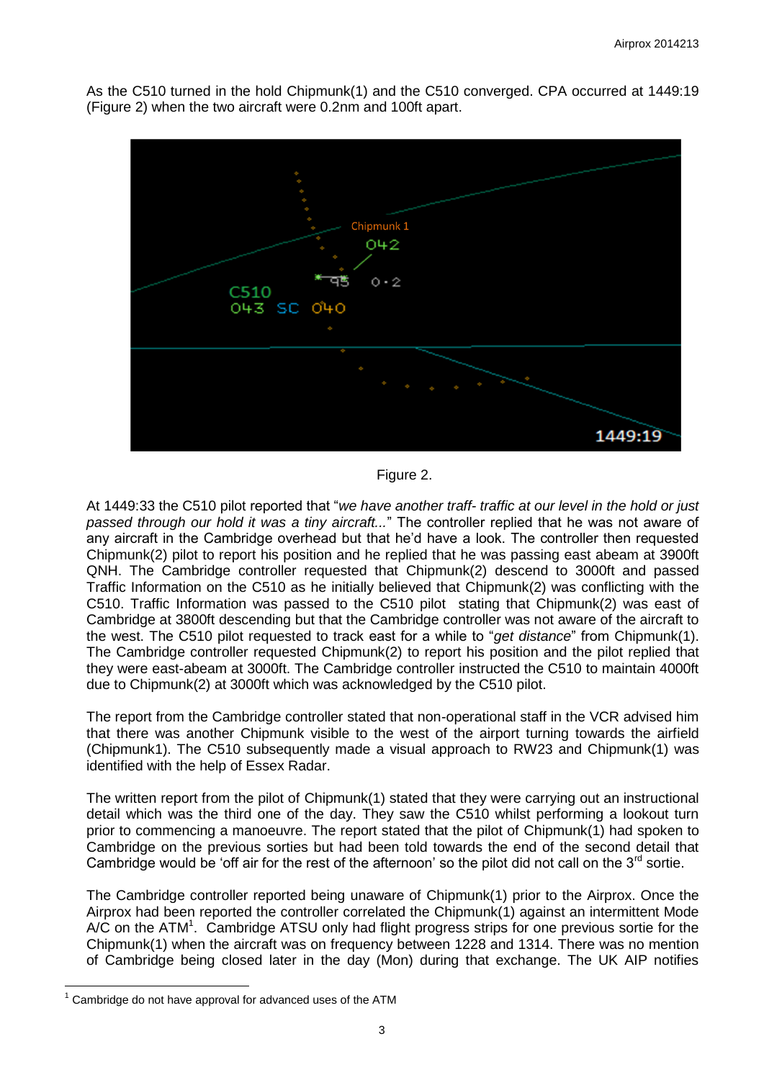As the C510 turned in the hold Chipmunk(1) and the C510 converged. CPA occurred at 1449:19 (Figure 2) when the two aircraft were 0.2nm and 100ft apart.



Figure 2.

At 1449:33 the C510 pilot reported that "*we have another traff- traffic at our level in the hold or just passed through our hold it was a tiny aircraft...*" The controller replied that he was not aware of any aircraft in the Cambridge overhead but that he'd have a look. The controller then requested Chipmunk(2) pilot to report his position and he replied that he was passing east abeam at 3900ft QNH. The Cambridge controller requested that Chipmunk(2) descend to 3000ft and passed Traffic Information on the C510 as he initially believed that Chipmunk(2) was conflicting with the C510. Traffic Information was passed to the C510 pilot stating that Chipmunk(2) was east of Cambridge at 3800ft descending but that the Cambridge controller was not aware of the aircraft to the west. The C510 pilot requested to track east for a while to "*get distance*" from Chipmunk(1). The Cambridge controller requested Chipmunk(2) to report his position and the pilot replied that they were east-abeam at 3000ft. The Cambridge controller instructed the C510 to maintain 4000ft due to Chipmunk(2) at 3000ft which was acknowledged by the C510 pilot.

The report from the Cambridge controller stated that non-operational staff in the VCR advised him that there was another Chipmunk visible to the west of the airport turning towards the airfield (Chipmunk1). The C510 subsequently made a visual approach to RW23 and Chipmunk(1) was identified with the help of Essex Radar.

The written report from the pilot of Chipmunk(1) stated that they were carrying out an instructional detail which was the third one of the day. They saw the C510 whilst performing a lookout turn prior to commencing a manoeuvre. The report stated that the pilot of Chipmunk(1) had spoken to Cambridge on the previous sorties but had been told towards the end of the second detail that Cambridge would be 'off air for the rest of the afternoon' so the pilot did not call on the  $3<sup>rd</sup>$  sortie.

The Cambridge controller reported being unaware of Chipmunk(1) prior to the Airprox. Once the Airprox had been reported the controller correlated the Chipmunk(1) against an intermittent Mode A/C on the ATM<sup>1</sup>. Cambridge ATSU only had flight progress strips for one previous sortie for the Chipmunk(1) when the aircraft was on frequency between 1228 and 1314. There was no mention of Cambridge being closed later in the day (Mon) during that exchange. The UK AIP notifies

 $\overline{a}$  $1$  Cambridge do not have approval for advanced uses of the ATM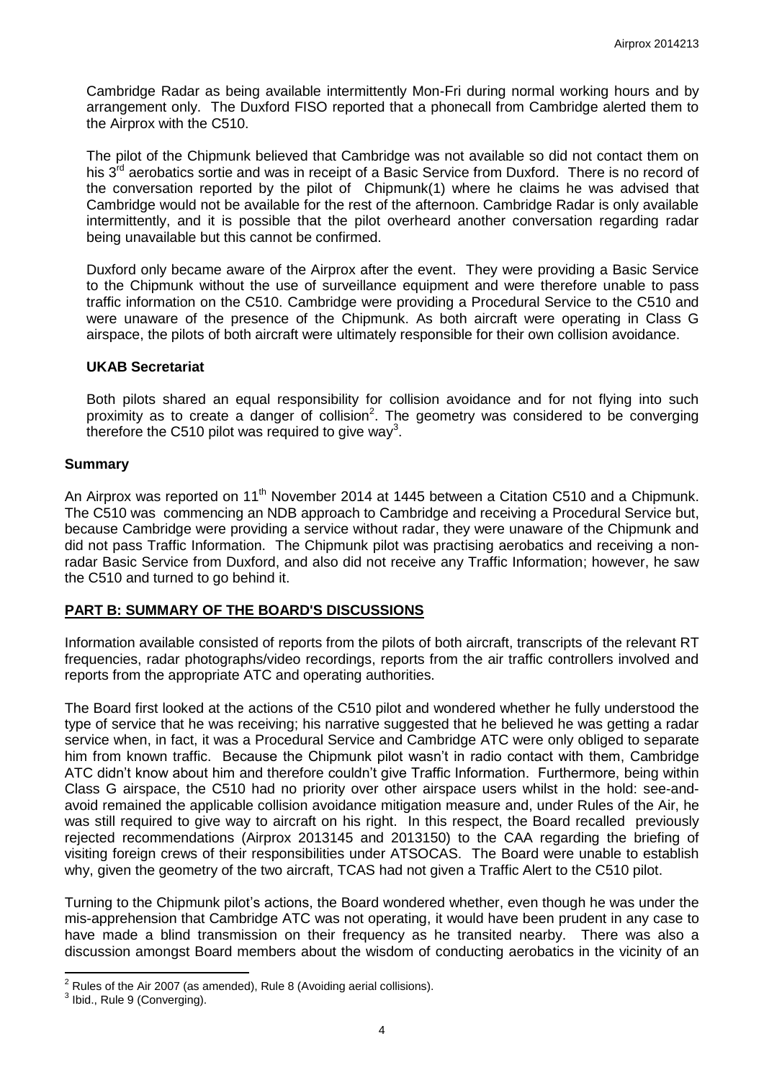Cambridge Radar as being available intermittently Mon-Fri during normal working hours and by arrangement only. The Duxford FISO reported that a phonecall from Cambridge alerted them to the Airprox with the C510.

The pilot of the Chipmunk believed that Cambridge was not available so did not contact them on his  $3<sup>rd</sup>$  aerobatics sortie and was in receipt of a Basic Service from Duxford. There is no record of the conversation reported by the pilot of Chipmunk(1) where he claims he was advised that Cambridge would not be available for the rest of the afternoon. Cambridge Radar is only available intermittently, and it is possible that the pilot overheard another conversation regarding radar being unavailable but this cannot be confirmed.

Duxford only became aware of the Airprox after the event. They were providing a Basic Service to the Chipmunk without the use of surveillance equipment and were therefore unable to pass traffic information on the C510. Cambridge were providing a Procedural Service to the C510 and were unaware of the presence of the Chipmunk. As both aircraft were operating in Class G airspace, the pilots of both aircraft were ultimately responsible for their own collision avoidance.

#### **UKAB Secretariat**

Both pilots shared an equal responsibility for collision avoidance and for not flying into such proximity as to create a danger of collision<sup>2</sup>. The geometry was considered to be converging therefore the C510 pilot was required to give way<sup>3</sup>.

### **Summary**

An Airprox was reported on 11<sup>th</sup> November 2014 at 1445 between a Citation C510 and a Chipmunk. The C510 was commencing an NDB approach to Cambridge and receiving a Procedural Service but, because Cambridge were providing a service without radar, they were unaware of the Chipmunk and did not pass Traffic Information. The Chipmunk pilot was practising aerobatics and receiving a nonradar Basic Service from Duxford, and also did not receive any Traffic Information; however, he saw the C510 and turned to go behind it.

# **PART B: SUMMARY OF THE BOARD'S DISCUSSIONS**

Information available consisted of reports from the pilots of both aircraft, transcripts of the relevant RT frequencies, radar photographs/video recordings, reports from the air traffic controllers involved and reports from the appropriate ATC and operating authorities.

The Board first looked at the actions of the C510 pilot and wondered whether he fully understood the type of service that he was receiving; his narrative suggested that he believed he was getting a radar service when, in fact, it was a Procedural Service and Cambridge ATC were only obliged to separate him from known traffic. Because the Chipmunk pilot wasn't in radio contact with them, Cambridge ATC didn't know about him and therefore couldn't give Traffic Information. Furthermore, being within Class G airspace, the C510 had no priority over other airspace users whilst in the hold: see-andavoid remained the applicable collision avoidance mitigation measure and, under Rules of the Air, he was still required to give way to aircraft on his right. In this respect, the Board recalled previously rejected recommendations (Airprox 2013145 and 2013150) to the CAA regarding the briefing of visiting foreign crews of their responsibilities under ATSOCAS. The Board were unable to establish why, given the geometry of the two aircraft, TCAS had not given a Traffic Alert to the C510 pilot.

Turning to the Chipmunk pilot's actions, the Board wondered whether, even though he was under the mis-apprehension that Cambridge ATC was not operating, it would have been prudent in any case to have made a blind transmission on their frequency as he transited nearby. There was also a discussion amongst Board members about the wisdom of conducting aerobatics in the vicinity of an

 $\overline{\phantom{a}}$ 

 $2^2$  Rules of the Air 2007 (as amended), Rule 8 (Avoiding aerial collisions).

<sup>&</sup>lt;sup>3</sup> Ibid., Rule 9 (Converging).